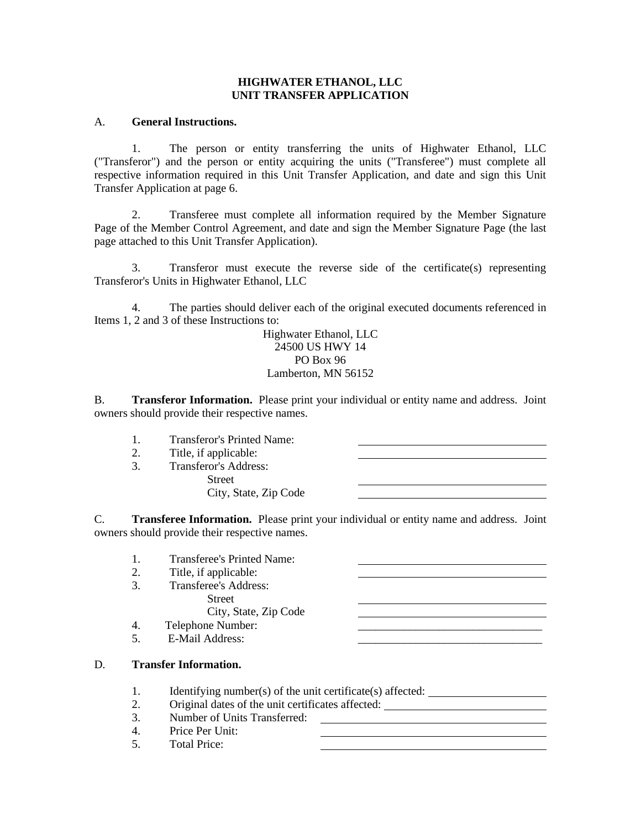### **HIGHWATER ETHANOL, LLC UNIT TRANSFER APPLICATION**

## A. **General Instructions.**

1. The person or entity transferring the units of Highwater Ethanol, LLC ("Transferor") and the person or entity acquiring the units ("Transferee") must complete all respective information required in this Unit Transfer Application, and date and sign this Unit Transfer Application at page 6.

2. Transferee must complete all information required by the Member Signature Page of the Member Control Agreement, and date and sign the Member Signature Page (the last page attached to this Unit Transfer Application).

3. Transferor must execute the reverse side of the certificate(s) representing Transferor's Units in Highwater Ethanol, LLC

4. The parties should deliver each of the original executed documents referenced in Items 1, 2 and 3 of these Instructions to:

> Highwater Ethanol, LLC 24500 US HWY 14 PO Box 96 Lamberton, MN 56152

B. **Transferor Information.** Please print your individual or entity name and address. Joint owners should provide their respective names.

- 1. Transferor's Printed Name: 2. Title, if applicable:
	- 3. Transferor's Address:

Street City, State, Zip Code

C. **Transferee Information.** Please print your individual or entity name and address. Joint owners should provide their respective names.

- 1. Transferee's Printed Name:
- 2. Title, if applicable:
- 3. Transferee's Address:
	- **Street**

City, State, Zip Code

- 4. Telephone Number:
- 5. E-Mail Address:

## D. **Transfer Information.**

- 1. Identifying number(s) of the unit certificate(s) affected:
- 2. Original dates of the unit certificates affected:
- 3. Number of Units Transferred:
- 4. Price Per Unit:
- 5. Total Price: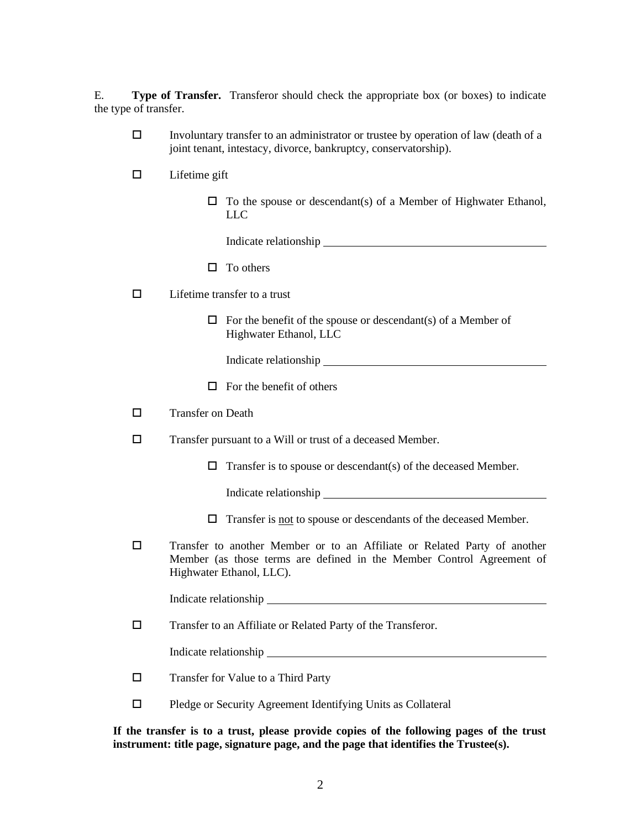E. **Type of Transfer.** Transferor should check the appropriate box (or boxes) to indicate the type of transfer.

- $\Box$  Involuntary transfer to an administrator or trustee by operation of law (death of a joint tenant, intestacy, divorce, bankruptcy, conservatorship).
- $\square$  Lifetime gift
	- $\Box$  To the spouse or descendant(s) of a Member of Highwater Ethanol, LLC

Indicate relationship <u>superior and the set of the set of the set of the set of the set of the set of the set of the set of the set of the set of the set of the set of the set of the set of the set of the set of the set of</u>

 $\Box$  To others

 $\Box$  Lifetime transfer to a trust

 $\Box$  For the benefit of the spouse or descendant(s) of a Member of Highwater Ethanol, LLC

Indicate relationship example of the state of the state of the state of the state of the state of the state of the state of the state of the state of the state of the state of the state of the state of the state of the sta

 $\Box$  For the benefit of others

Transfer on Death

- Transfer pursuant to a Will or trust of a deceased Member.
	- $\Box$  Transfer is to spouse or descendant(s) of the deceased Member.

Indicate relationship

- $\Box$  Transfer is not to spouse or descendants of the deceased Member.
- Transfer to another Member or to an Affiliate or Related Party of another Member (as those terms are defined in the Member Control Agreement of Highwater Ethanol, LLC).

Indicate relationship

Transfer to an Affiliate or Related Party of the Transferor.

Indicate relationship

- Transfer for Value to a Third Party
- $\Box$  Pledge or Security Agreement Identifying Units as Collateral

**If the transfer is to a trust, please provide copies of the following pages of the trust instrument: title page, signature page, and the page that identifies the Trustee(s).**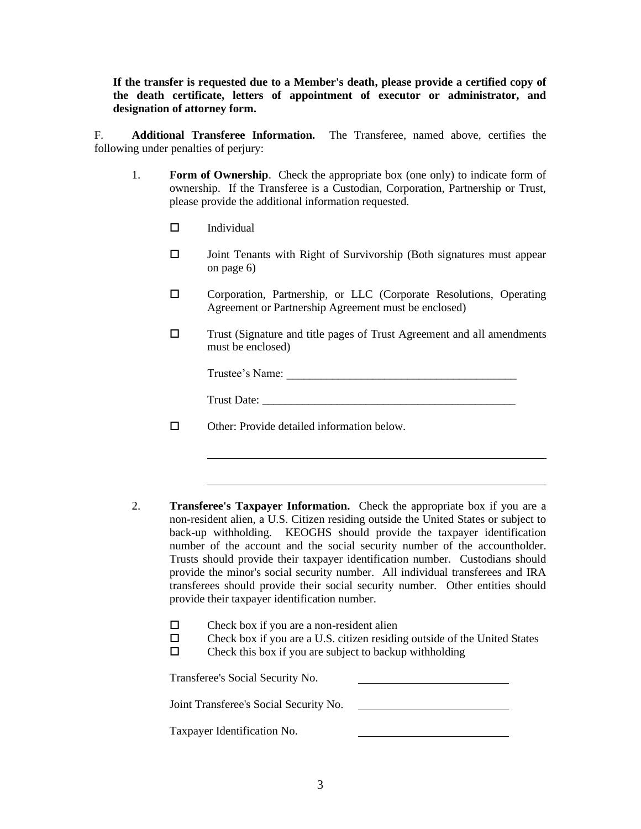**If the transfer is requested due to a Member's death, please provide a certified copy of the death certificate, letters of appointment of executor or administrator, and designation of attorney form.** 

F. **Additional Transferee Information.** The Transferee, named above, certifies the following under penalties of perjury:

- 1. **Form of Ownership**. Check the appropriate box (one only) to indicate form of ownership. If the Transferee is a Custodian, Corporation, Partnership or Trust, please provide the additional information requested.
	- $\Box$  Individual
	- $\Box$  Joint Tenants with Right of Survivorship (Both signatures must appear on page 6)
	- Corporation, Partnership, or LLC (Corporate Resolutions, Operating Agreement or Partnership Agreement must be enclosed)
	- Trust (Signature and title pages of Trust Agreement and all amendments must be enclosed)

Trustee's Name: \_\_\_\_\_\_\_\_\_\_\_\_\_\_\_\_\_\_\_\_\_\_\_\_\_\_\_\_\_\_\_\_\_\_\_\_\_\_\_\_

Trust Date:

□ Other: Provide detailed information below.

- 2. **Transferee's Taxpayer Information.** Check the appropriate box if you are a non-resident alien, a U.S. Citizen residing outside the United States or subject to back-up withholding. KEOGHS should provide the taxpayer identification number of the account and the social security number of the accountholder. Trusts should provide their taxpayer identification number. Custodians should provide the minor's social security number. All individual transferees and IRA transferees should provide their social security number. Other entities should provide their taxpayer identification number.
	- $\square$  Check box if you are a non-resident alien
	- $\square$  Check box if you are a U.S. citizen residing outside of the United States
	- $\square$  Check this box if you are subject to backup withholding

Transferee's Social Security No.

Joint Transferee's Social Security No.

Taxpayer Identification No.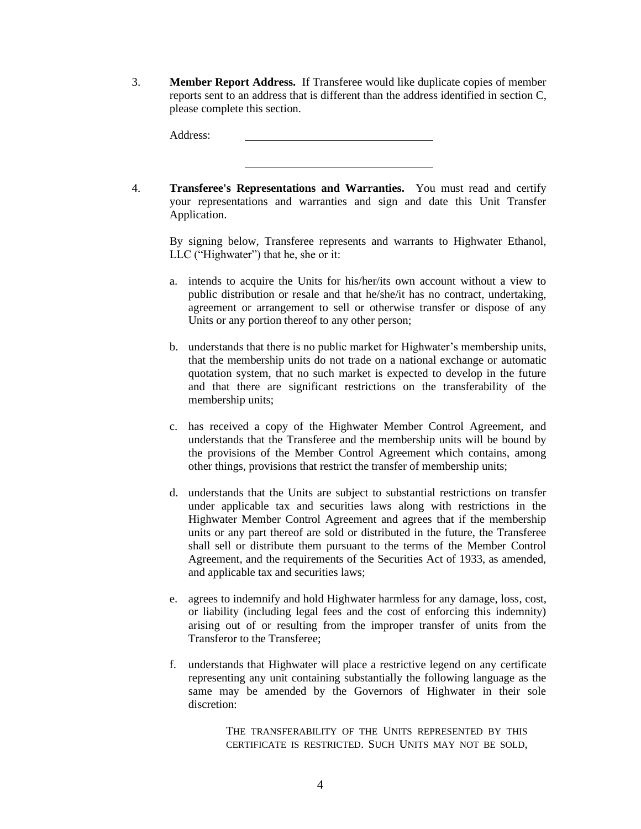3. **Member Report Address.** If Transferee would like duplicate copies of member reports sent to an address that is different than the address identified in section C, please complete this section.

Address:

4. **Transferee's Representations and Warranties.** You must read and certify your representations and warranties and sign and date this Unit Transfer Application.

By signing below, Transferee represents and warrants to Highwater Ethanol, LLC ("Highwater") that he, she or it:

- a. intends to acquire the Units for his/her/its own account without a view to public distribution or resale and that he/she/it has no contract, undertaking, agreement or arrangement to sell or otherwise transfer or dispose of any Units or any portion thereof to any other person;
- b. understands that there is no public market for Highwater's membership units, that the membership units do not trade on a national exchange or automatic quotation system, that no such market is expected to develop in the future and that there are significant restrictions on the transferability of the membership units;
- c. has received a copy of the Highwater Member Control Agreement, and understands that the Transferee and the membership units will be bound by the provisions of the Member Control Agreement which contains, among other things, provisions that restrict the transfer of membership units;
- d. understands that the Units are subject to substantial restrictions on transfer under applicable tax and securities laws along with restrictions in the Highwater Member Control Agreement and agrees that if the membership units or any part thereof are sold or distributed in the future, the Transferee shall sell or distribute them pursuant to the terms of the Member Control Agreement, and the requirements of the Securities Act of 1933, as amended, and applicable tax and securities laws;
- e. agrees to indemnify and hold Highwater harmless for any damage, loss, cost, or liability (including legal fees and the cost of enforcing this indemnity) arising out of or resulting from the improper transfer of units from the Transferor to the Transferee;
- f. understands that Highwater will place a restrictive legend on any certificate representing any unit containing substantially the following language as the same may be amended by the Governors of Highwater in their sole discretion:

THE TRANSFERABILITY OF THE UNITS REPRESENTED BY THIS CERTIFICATE IS RESTRICTED. SUCH UNITS MAY NOT BE SOLD,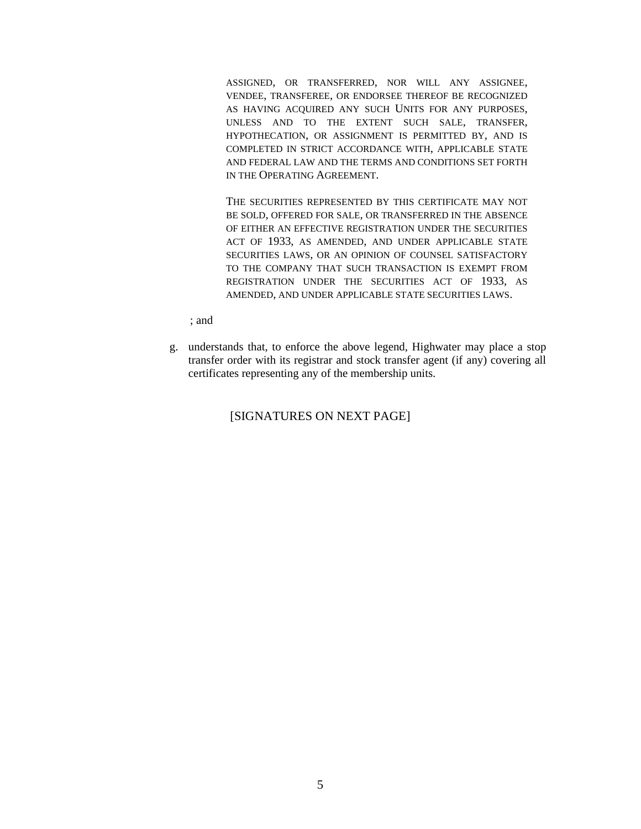ASSIGNED, OR TRANSFERRED, NOR WILL ANY ASSIGNEE, VENDEE, TRANSFEREE, OR ENDORSEE THEREOF BE RECOGNIZED AS HAVING ACQUIRED ANY SUCH UNITS FOR ANY PURPOSES, UNLESS AND TO THE EXTENT SUCH SALE, TRANSFER, HYPOTHECATION, OR ASSIGNMENT IS PERMITTED BY, AND IS COMPLETED IN STRICT ACCORDANCE WITH, APPLICABLE STATE AND FEDERAL LAW AND THE TERMS AND CONDITIONS SET FORTH IN THE OPERATING AGREEMENT.

THE SECURITIES REPRESENTED BY THIS CERTIFICATE MAY NOT BE SOLD, OFFERED FOR SALE, OR TRANSFERRED IN THE ABSENCE OF EITHER AN EFFECTIVE REGISTRATION UNDER THE SECURITIES ACT OF 1933, AS AMENDED, AND UNDER APPLICABLE STATE SECURITIES LAWS, OR AN OPINION OF COUNSEL SATISFACTORY TO THE COMPANY THAT SUCH TRANSACTION IS EXEMPT FROM REGISTRATION UNDER THE SECURITIES ACT OF 1933, AS AMENDED, AND UNDER APPLICABLE STATE SECURITIES LAWS.

; and

g. understands that, to enforce the above legend, Highwater may place a stop transfer order with its registrar and stock transfer agent (if any) covering all certificates representing any of the membership units.

# [SIGNATURES ON NEXT PAGE]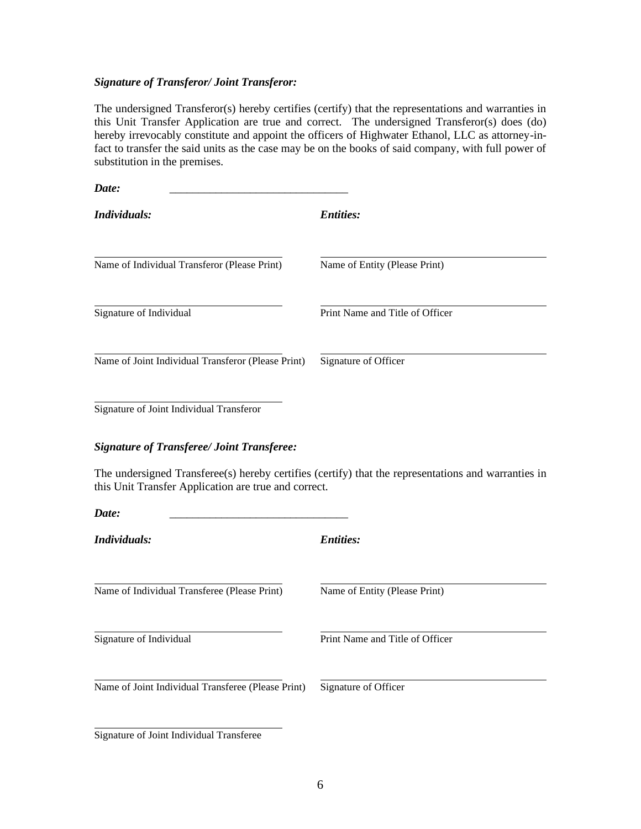# *Signature of Transferor/ Joint Transferor:*

The undersigned Transferor(s) hereby certifies (certify) that the representations and warranties in this Unit Transfer Application are true and correct. The undersigned Transferor(s) does (do) hereby irrevocably constitute and appoint the officers of Highwater Ethanol, LLC as attorney-infact to transfer the said units as the case may be on the books of said company, with full power of substitution in the premises.

| Date:                                              |                                 |
|----------------------------------------------------|---------------------------------|
| Individuals:                                       | <i>Entities:</i>                |
| Name of Individual Transferor (Please Print)       | Name of Entity (Please Print)   |
| Signature of Individual                            | Print Name and Title of Officer |
| Name of Joint Individual Transferor (Please Print) | Signature of Officer            |

Signature of Joint Individual Transferor

## *Signature of Transferee/ Joint Transferee:*

The undersigned Transferee(s) hereby certifies (certify) that the representations and warranties in this Unit Transfer Application are true and correct.

| Date:                                              |                                 |  |
|----------------------------------------------------|---------------------------------|--|
| Individuals:                                       | <b>Entities:</b>                |  |
| Name of Individual Transferee (Please Print)       | Name of Entity (Please Print)   |  |
| Signature of Individual                            | Print Name and Title of Officer |  |
| Name of Joint Individual Transferee (Please Print) | Signature of Officer            |  |
|                                                    |                                 |  |

Signature of Joint Individual Transferee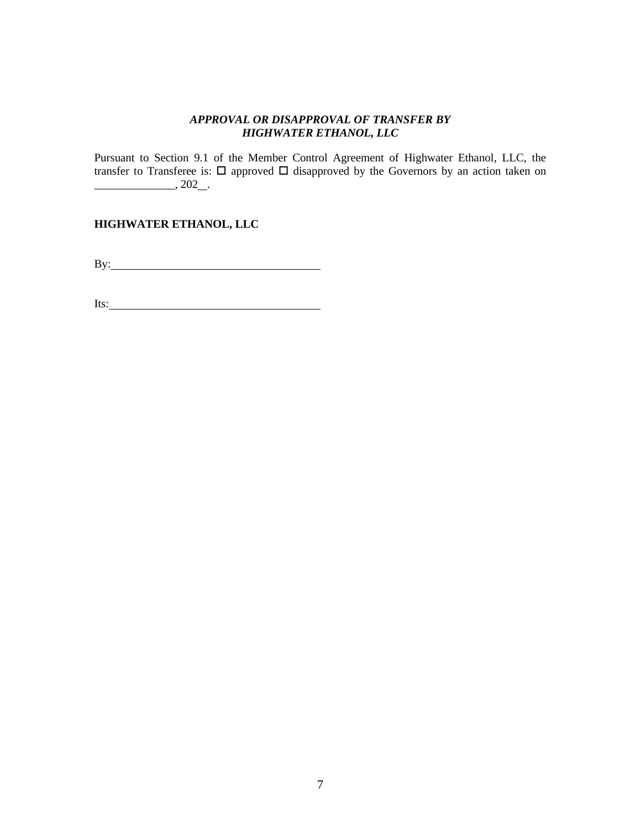# *APPROVAL OR DISAPPROVAL OF TRANSFER BY HIGHWATER ETHANOL, LLC*

Pursuant to Section 9.1 of the Member Control Agreement of Highwater Ethanol, LLC, the transfer to Transferee is:  $\Box$  approved  $\Box$  disapproved by the Governors by an action taken on  $\frac{1}{202}$ , 202 .

# **HIGHWATER ETHANOL, LLC**

By:

Its: